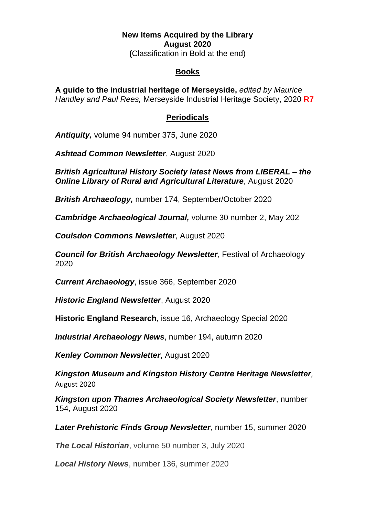## **New Items Acquired by the Library August 2020 (**Classification in Bold at the end)

## **Books**

**A guide to the industrial heritage of Merseyside,** *edited by Maurice Handley and Paul Rees,* Merseyside Industrial Heritage Society, 2020 **R7**

## **Periodicals**

*Antiquity,* volume 94 number 375, June 2020

*Ashtead Common Newsletter*, August 2020

*British Agricultural History Society latest News from LIBERAL – the Online Library of Rural and Agricultural Literature*, August 2020

*British Archaeology,* number 174, September/October 2020

*Cambridge Archaeological Journal,* volume 30 number 2, May 202

*Coulsdon Commons Newsletter*, August 2020

*Council for British Archaeology Newsletter*, Festival of Archaeology 2020

*Current Archaeology*, issue 366, September 2020

*Historic England Newsletter*, August 2020

**Historic England Research**, issue 16, Archaeology Special 2020

*Industrial Archaeology News*, number 194, autumn 2020

*Kenley Common Newsletter*, August 2020

*Kingston Museum and Kingston History Centre Heritage Newsletter*, August 2020

*Kingston upon Thames Archaeological Society Newsletter*, number 154, August 2020

*Later Prehistoric Finds Group Newsletter*, number 15, summer 2020

*The Local Historian*, volume 50 number 3, July 2020

*Local History News*, number 136, summer 2020